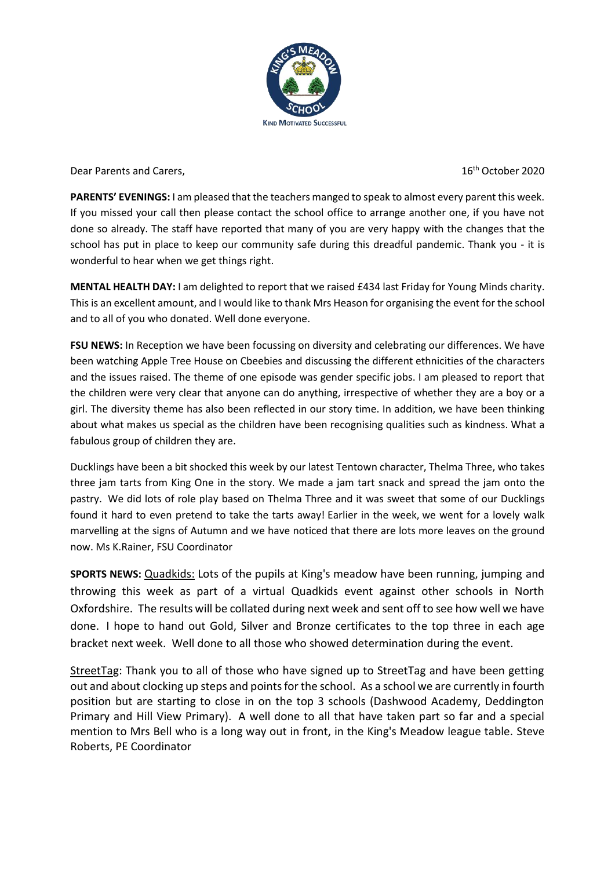

Dear Parents and Carers. The contract of the contract of the contract of the contract of the contract of the D

**PARENTS' EVENINGS:** I am pleased that the teachers manged to speak to almost every parent this week. If you missed your call then please contact the school office to arrange another one, if you have not done so already. The staff have reported that many of you are very happy with the changes that the school has put in place to keep our community safe during this dreadful pandemic. Thank you - it is wonderful to hear when we get things right.

**MENTAL HEALTH DAY:** I am delighted to report that we raised £434 last Friday for Young Minds charity. This is an excellent amount, and I would like to thank Mrs Heason for organising the event for the school and to all of you who donated. Well done everyone.

**FSU NEWS:** In Reception we have been focussing on diversity and celebrating our differences. We have been watching Apple Tree House on Cbeebies and discussing the different ethnicities of the characters and the issues raised. The theme of one episode was gender specific jobs. I am pleased to report that the children were very clear that anyone can do anything, irrespective of whether they are a boy or a girl. The diversity theme has also been reflected in our story time. In addition, we have been thinking about what makes us special as the children have been recognising qualities such as kindness. What a fabulous group of children they are.

Ducklings have been a bit shocked this week by our latest Tentown character, Thelma Three, who takes three jam tarts from King One in the story. We made a jam tart snack and spread the jam onto the pastry. We did lots of role play based on Thelma Three and it was sweet that some of our Ducklings found it hard to even pretend to take the tarts away! Earlier in the week, we went for a lovely walk marvelling at the signs of Autumn and we have noticed that there are lots more leaves on the ground now. Ms K.Rainer, FSU Coordinator

**SPORTS NEWS:** Quadkids: Lots of the pupils at King's meadow have been running, jumping and throwing this week as part of a virtual Quadkids event against other schools in North Oxfordshire. The results will be collated during next week and sent off to see how well we have done. I hope to hand out Gold, Silver and Bronze certificates to the top three in each age bracket next week. Well done to all those who showed determination during the event.

StreetTag: Thank you to all of those who have signed up to StreetTag and have been getting out and about clocking up steps and points for the school. As a school we are currently in fourth position but are starting to close in on the top 3 schools (Dashwood Academy, Deddington Primary and Hill View Primary). A well done to all that have taken part so far and a special mention to Mrs Bell who is a long way out in front, in the King's Meadow league table. Steve Roberts, PE Coordinator